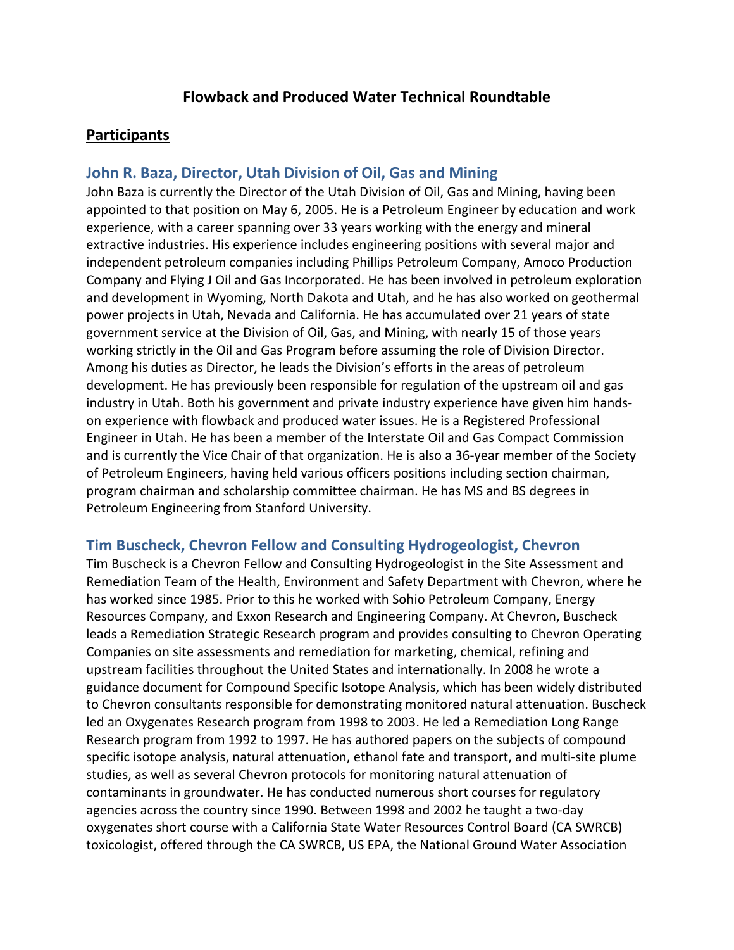## **Flowback and Produced Water Technical Roundtable**

### **Participants**

### **John R. Baza, Director, Utah Division of Oil, Gas and Mining**

John Baza is currently the Director of the Utah Division of Oil, Gas and Mining, having been appointed to that position on May 6, 2005. He is a Petroleum Engineer by education and work experience, with a career spanning over 33 years working with the energy and mineral extractive industries. His experience includes engineering positions with several major and independent petroleum companies including Phillips Petroleum Company, Amoco Production Company and Flying J Oil and Gas Incorporated. He has been involved in petroleum exploration and development in Wyoming, North Dakota and Utah, and he has also worked on geothermal power projects in Utah, Nevada and California. He has accumulated over 21 years of state government service at the Division of Oil, Gas, and Mining, with nearly 15 of those years working strictly in the Oil and Gas Program before assuming the role of Division Director. Among his duties as Director, he leads the Division's efforts in the areas of petroleum development. He has previously been responsible for regulation of the upstream oil and gas industry in Utah. Both his government and private industry experience have given him handson experience with flowback and produced water issues. He is a Registered Professional Engineer in Utah. He has been a member of the Interstate Oil and Gas Compact Commission and is currently the Vice Chair of that organization. He is also a 36-year member of the Society of Petroleum Engineers, having held various officers positions including section chairman, program chairman and scholarship committee chairman. He has MS and BS degrees in Petroleum Engineering from Stanford University.

### **Tim Buscheck, Chevron Fellow and Consulting Hydrogeologist, Chevron**

Tim Buscheck is a Chevron Fellow and Consulting Hydrogeologist in the Site Assessment and Remediation Team of the Health, Environment and Safety Department with Chevron, where he has worked since 1985. Prior to this he worked with Sohio Petroleum Company, Energy Resources Company, and Exxon Research and Engineering Company. At Chevron, Buscheck leads a Remediation Strategic Research program and provides consulting to Chevron Operating Companies on site assessments and remediation for marketing, chemical, refining and upstream facilities throughout the United States and internationally. In 2008 he wrote a guidance document for Compound Specific Isotope Analysis, which has been widely distributed to Chevron consultants responsible for demonstrating monitored natural attenuation. Buscheck led an Oxygenates Research program from 1998 to 2003. He led a Remediation Long Range Research program from 1992 to 1997. He has authored papers on the subjects of compound specific isotope analysis, natural attenuation, ethanol fate and transport, and multi-site plume studies, as well as several Chevron protocols for monitoring natural attenuation of contaminants in groundwater. He has conducted numerous short courses for regulatory agencies across the country since 1990. Between 1998 and 2002 he taught a two-day oxygenates short course with a California State Water Resources Control Board (CA SWRCB) toxicologist, offered through the CA SWRCB, US EPA, the National Ground Water Association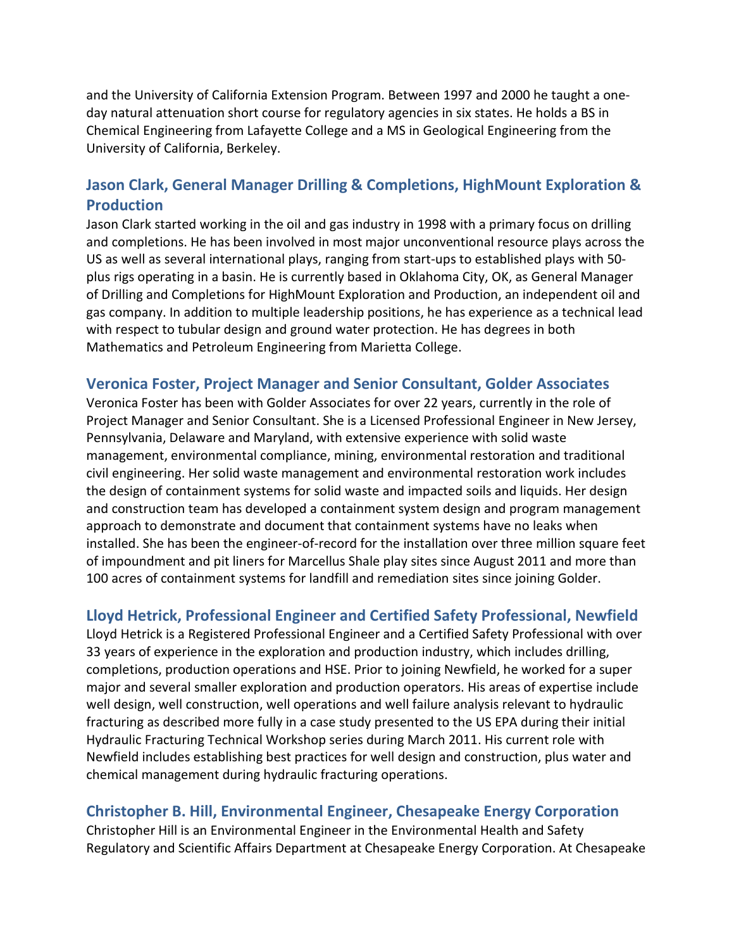and the University of California Extension Program. Between 1997 and 2000 he taught a oneday natural attenuation short course for regulatory agencies in six states. He holds a BS in Chemical Engineering from Lafayette College and a MS in Geological Engineering from the University of California, Berkeley.

## **Jason Clark, General Manager Drilling & Completions, HighMount Exploration & Production**

Jason Clark started working in the oil and gas industry in 1998 with a primary focus on drilling and completions. He has been involved in most major unconventional resource plays across the US as well as several international plays, ranging from start-ups to established plays with 50 plus rigs operating in a basin. He is currently based in Oklahoma City, OK, as General Manager of Drilling and Completions for HighMount Exploration and Production, an independent oil and gas company. In addition to multiple leadership positions, he has experience as a technical lead with respect to tubular design and ground water protection. He has degrees in both Mathematics and Petroleum Engineering from Marietta College.

### **Veronica Foster, Project Manager and Senior Consultant, Golder Associates**

Veronica Foster has been with Golder Associates for over 22 years, currently in the role of Project Manager and Senior Consultant. She is a Licensed Professional Engineer in New Jersey, Pennsylvania, Delaware and Maryland, with extensive experience with solid waste management, environmental compliance, mining, environmental restoration and traditional civil engineering. Her solid waste management and environmental restoration work includes the design of containment systems for solid waste and impacted soils and liquids. Her design and construction team has developed a containment system design and program management approach to demonstrate and document that containment systems have no leaks when installed. She has been the engineer-of-record for the installation over three million square feet of impoundment and pit liners for Marcellus Shale play sites since August 2011 and more than 100 acres of containment systems for landfill and remediation sites since joining Golder.

## **Lloyd Hetrick, Professional Engineer and Certified Safety Professional, Newfield**

Lloyd Hetrick is a Registered Professional Engineer and a Certified Safety Professional with over 33 years of experience in the exploration and production industry, which includes drilling, completions, production operations and HSE. Prior to joining Newfield, he worked for a super major and several smaller exploration and production operators. His areas of expertise include well design, well construction, well operations and well failure analysis relevant to hydraulic fracturing as described more fully in a case study presented to the US EPA during their initial Hydraulic Fracturing Technical Workshop series during March 2011. His current role with Newfield includes establishing best practices for well design and construction, plus water and chemical management during hydraulic fracturing operations.

### **Christopher B. Hill, Environmental Engineer, Chesapeake Energy Corporation**

Christopher Hill is an Environmental Engineer in the Environmental Health and Safety Regulatory and Scientific Affairs Department at Chesapeake Energy Corporation. At Chesapeake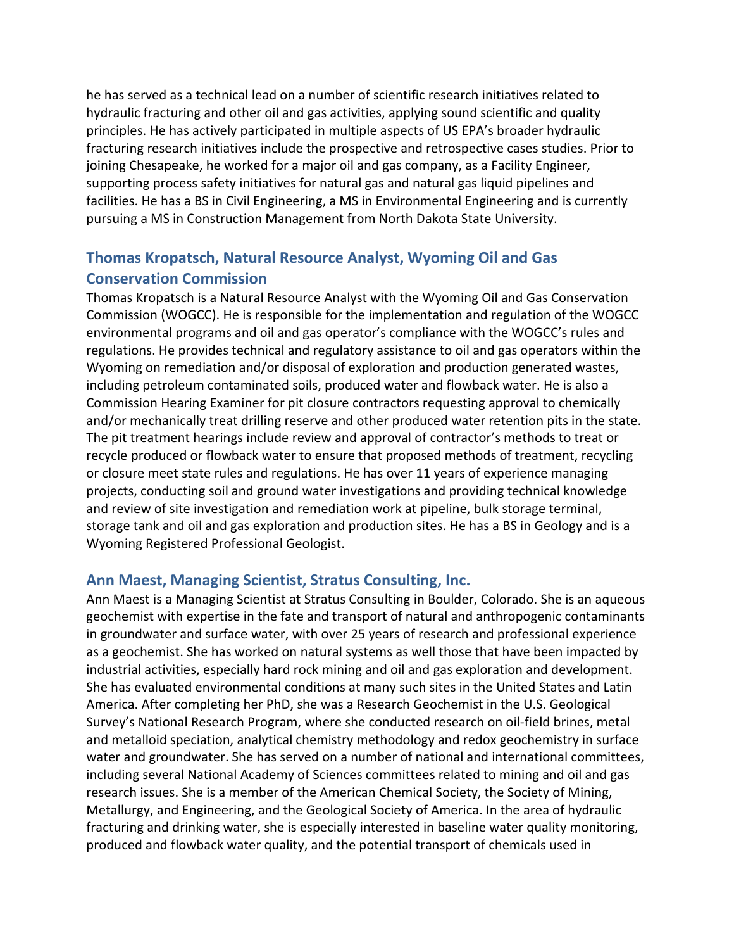he has served as a technical lead on a number of scientific research initiatives related to hydraulic fracturing and other oil and gas activities, applying sound scientific and quality principles. He has actively participated in multiple aspects of US EPA's broader hydraulic fracturing research initiatives include the prospective and retrospective cases studies. Prior to joining Chesapeake, he worked for a major oil and gas company, as a Facility Engineer, supporting process safety initiatives for natural gas and natural gas liquid pipelines and facilities. He has a BS in Civil Engineering, a MS in Environmental Engineering and is currently pursuing a MS in Construction Management from North Dakota State University.

# **Thomas Kropatsch, Natural Resource Analyst, Wyoming Oil and Gas Conservation Commission**

Thomas Kropatsch is a Natural Resource Analyst with the Wyoming Oil and Gas Conservation Commission (WOGCC). He is responsible for the implementation and regulation of the WOGCC environmental programs and oil and gas operator's compliance with the WOGCC's rules and regulations. He provides technical and regulatory assistance to oil and gas operators within the Wyoming on remediation and/or disposal of exploration and production generated wastes, including petroleum contaminated soils, produced water and flowback water. He is also a Commission Hearing Examiner for pit closure contractors requesting approval to chemically and/or mechanically treat drilling reserve and other produced water retention pits in the state. The pit treatment hearings include review and approval of contractor's methods to treat or recycle produced or flowback water to ensure that proposed methods of treatment, recycling or closure meet state rules and regulations. He has over 11 years of experience managing projects, conducting soil and ground water investigations and providing technical knowledge and review of site investigation and remediation work at pipeline, bulk storage terminal, storage tank and oil and gas exploration and production sites. He has a BS in Geology and is a Wyoming Registered Professional Geologist.

## **Ann Maest, Managing Scientist, Stratus Consulting, Inc.**

Ann Maest is a Managing Scientist at Stratus Consulting in Boulder, Colorado. She is an aqueous geochemist with expertise in the fate and transport of natural and anthropogenic contaminants in groundwater and surface water, with over 25 years of research and professional experience as a geochemist. She has worked on natural systems as well those that have been impacted by industrial activities, especially hard rock mining and oil and gas exploration and development. She has evaluated environmental conditions at many such sites in the United States and Latin America. After completing her PhD, she was a Research Geochemist in the U.S. Geological Survey's National Research Program, where she conducted research on oil-field brines, metal and metalloid speciation, analytical chemistry methodology and redox geochemistry in surface water and groundwater. She has served on a number of national and international committees, including several National Academy of Sciences committees related to mining and oil and gas research issues. She is a member of the American Chemical Society, the Society of Mining, Metallurgy, and Engineering, and the Geological Society of America. In the area of hydraulic fracturing and drinking water, she is especially interested in baseline water quality monitoring, produced and flowback water quality, and the potential transport of chemicals used in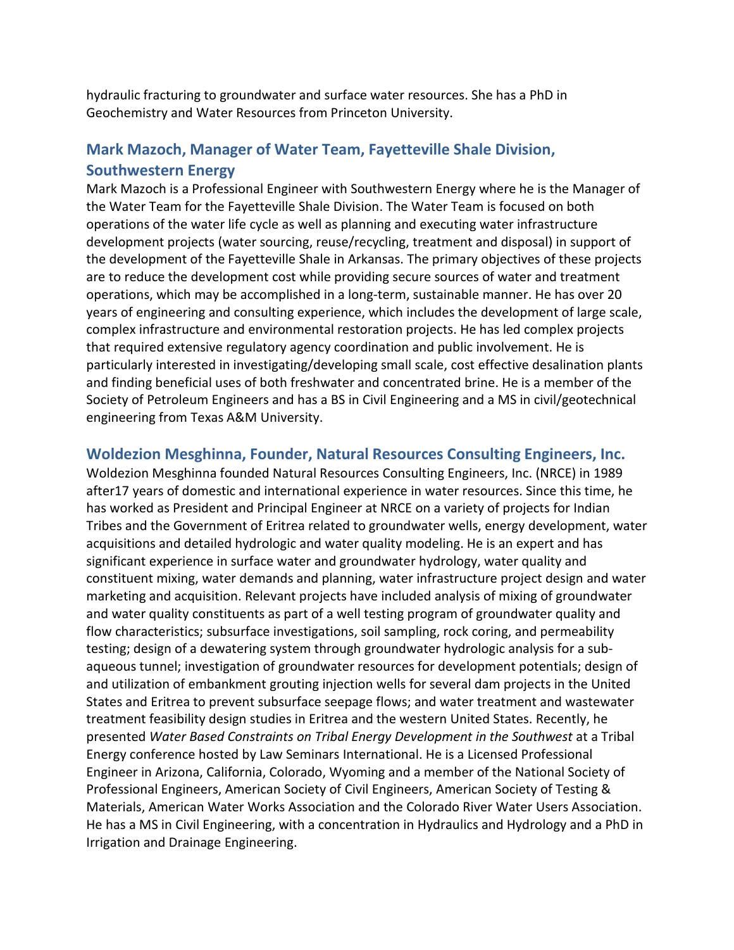hydraulic fracturing to groundwater and surface water resources. She has a PhD in Geochemistry and Water Resources from Princeton University.

## **Mark Mazoch, Manager of Water Team, Fayetteville Shale Division, Southwestern Energy**

Mark Mazoch is a Professional Engineer with Southwestern Energy where he is the Manager of the Water Team for the Fayetteville Shale Division. The Water Team is focused on both operations of the water life cycle as well as planning and executing water infrastructure development projects (water sourcing, reuse/recycling, treatment and disposal) in support of the development of the Fayetteville Shale in Arkansas. The primary objectives of these projects are to reduce the development cost while providing secure sources of water and treatment operations, which may be accomplished in a long-term, sustainable manner. He has over 20 years of engineering and consulting experience, which includes the development of large scale, complex infrastructure and environmental restoration projects. He has led complex projects that required extensive regulatory agency coordination and public involvement. He is particularly interested in investigating/developing small scale, cost effective desalination plants and finding beneficial uses of both freshwater and concentrated brine. He is a member of the Society of Petroleum Engineers and has a BS in Civil Engineering and a MS in civil/geotechnical engineering from Texas A&M University.

### **Woldezion Mesghinna, Founder, Natural Resources Consulting Engineers, Inc.**

Woldezion Mesghinna founded Natural Resources Consulting Engineers, Inc. (NRCE) in 1989 after17 years of domestic and international experience in water resources. Since this time, he has worked as President and Principal Engineer at NRCE on a variety of projects for Indian Tribes and the Government of Eritrea related to groundwater wells, energy development, water acquisitions and detailed hydrologic and water quality modeling. He is an expert and has significant experience in surface water and groundwater hydrology, water quality and constituent mixing, water demands and planning, water infrastructure project design and water marketing and acquisition. Relevant projects have included analysis of mixing of groundwater and water quality constituents as part of a well testing program of groundwater quality and flow characteristics; subsurface investigations, soil sampling, rock coring, and permeability testing; design of a dewatering system through groundwater hydrologic analysis for a subaqueous tunnel; investigation of groundwater resources for development potentials; design of and utilization of embankment grouting injection wells for several dam projects in the United States and Eritrea to prevent subsurface seepage flows; and water treatment and wastewater treatment feasibility design studies in Eritrea and the western United States. Recently, he presented *Water Based Constraints on Tribal Energy Development in the Southwest* at a Tribal Energy conference hosted by Law Seminars International. He is a Licensed Professional Engineer in Arizona, California, Colorado, Wyoming and a member of the National Society of Professional Engineers, American Society of Civil Engineers, American Society of Testing & Materials, American Water Works Association and the Colorado River Water Users Association. He has a MS in Civil Engineering, with a concentration in Hydraulics and Hydrology and a PhD in Irrigation and Drainage Engineering.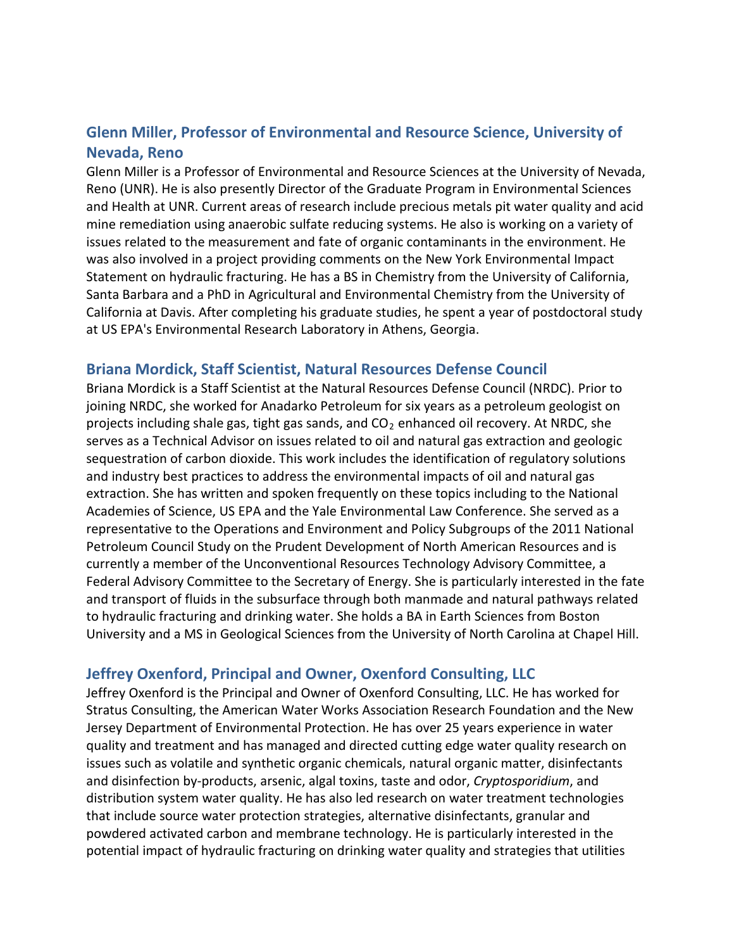# **Glenn Miller, Professor of Environmental and Resource Science, University of Nevada, Reno**

Glenn Miller is a Professor of Environmental and Resource Sciences at the University of Nevada, Reno (UNR). He is also presently Director of the Graduate Program in Environmental Sciences and Health at UNR. Current areas of research include precious metals pit water quality and acid mine remediation using anaerobic sulfate reducing systems. He also is working on a variety of issues related to the measurement and fate of organic contaminants in the environment. He was also involved in a project providing comments on the New York Environmental Impact Statement on hydraulic fracturing. He has a BS in Chemistry from the University of California, Santa Barbara and a PhD in Agricultural and Environmental Chemistry from the University of California at Davis. After completing his graduate studies, he spent a year of postdoctoral study at US EPA's Environmental Research Laboratory in Athens, Georgia.

## **Briana Mordick, Staff Scientist, Natural Resources Defense Council**

Briana Mordick is a Staff Scientist at the Natural Resources Defense Council (NRDC). Prior to joining NRDC, she worked for Anadarko Petroleum for six years as a petroleum geologist on projects including shale gas, tight gas sands, and  $CO<sub>2</sub>$  enhanced oil recovery. At NRDC, she serves as a Technical Advisor on issues related to oil and natural gas extraction and geologic sequestration of carbon dioxide. This work includes the identification of regulatory solutions and industry best practices to address the environmental impacts of oil and natural gas extraction. She has written and spoken frequently on these topics including to the National Academies of Science, US EPA and the Yale Environmental Law Conference. She served as a representative to the Operations and Environment and Policy Subgroups of the 2011 National Petroleum Council Study on the Prudent Development of North American Resources and is currently a member of the Unconventional Resources Technology Advisory Committee, a Federal Advisory Committee to the Secretary of Energy. She is particularly interested in the fate and transport of fluids in the subsurface through both manmade and natural pathways related to hydraulic fracturing and drinking water. She holds a BA in Earth Sciences from Boston University and a MS in Geological Sciences from the University of North Carolina at Chapel Hill.

## **Jeffrey Oxenford, Principal and Owner, Oxenford Consulting, LLC**

Jeffrey Oxenford is the Principal and Owner of Oxenford Consulting, LLC. He has worked for Stratus Consulting, the American Water Works Association Research Foundation and the New Jersey Department of Environmental Protection. He has over 25 years experience in water quality and treatment and has managed and directed cutting edge water quality research on issues such as volatile and synthetic organic chemicals, natural organic matter, disinfectants and disinfection by-products, arsenic, algal toxins, taste and odor, *Cryptosporidium*, and distribution system water quality. He has also led research on water treatment technologies that include source water protection strategies, alternative disinfectants, granular and powdered activated carbon and membrane technology. He is particularly interested in the potential impact of hydraulic fracturing on drinking water quality and strategies that utilities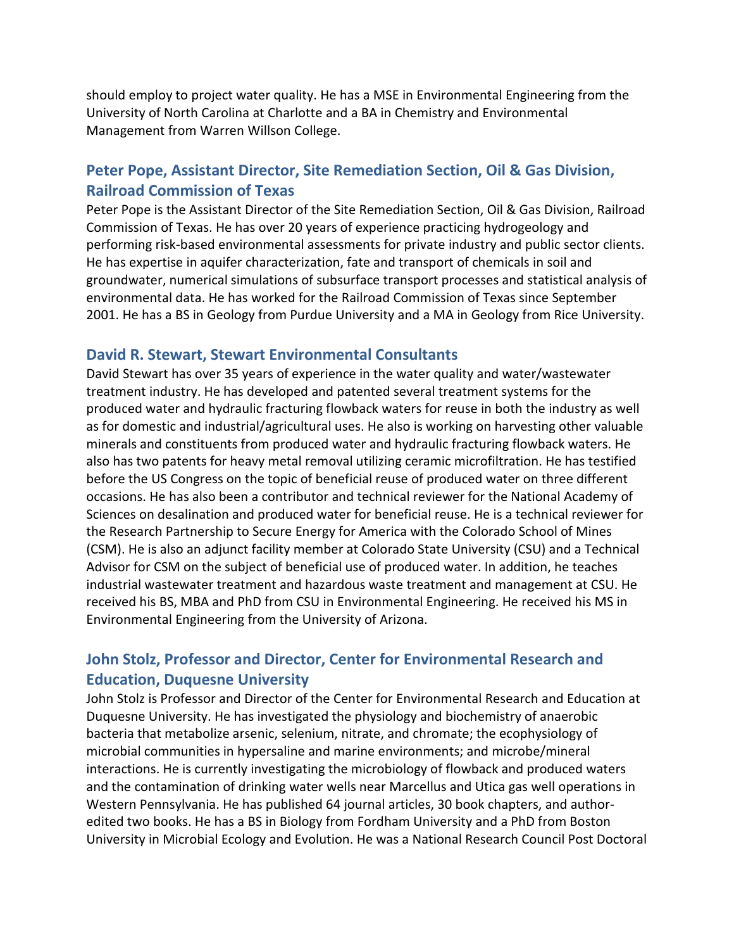should employ to project water quality. He has a MSE in Environmental Engineering from the University of North Carolina at Charlotte and a BA in Chemistry and Environmental Management from Warren Willson College.

# **Peter Pope, Assistant Director, Site Remediation Section, Oil & Gas Division, Railroad Commission of Texas**

Peter Pope is the Assistant Director of the Site Remediation Section, Oil & Gas Division, Railroad Commission of Texas. He has over 20 years of experience practicing hydrogeology and performing risk-based environmental assessments for private industry and public sector clients. He has expertise in aquifer characterization, fate and transport of chemicals in soil and groundwater, numerical simulations of subsurface transport processes and statistical analysis of environmental data. He has worked for the Railroad Commission of Texas since September 2001. He has a BS in Geology from Purdue University and a MA in Geology from Rice University.

### **David R. Stewart, Stewart Environmental Consultants**

David Stewart has over 35 years of experience in the water quality and water/wastewater treatment industry. He has developed and patented several treatment systems for the produced water and hydraulic fracturing flowback waters for reuse in both the industry as well as for domestic and industrial/agricultural uses. He also is working on harvesting other valuable minerals and constituents from produced water and hydraulic fracturing flowback waters. He also has two patents for heavy metal removal utilizing ceramic microfiltration. He has testified before the US Congress on the topic of beneficial reuse of produced water on three different occasions. He has also been a contributor and technical reviewer for the National Academy of Sciences on desalination and produced water for beneficial reuse. He is a technical reviewer for the Research Partnership to Secure Energy for America with the Colorado School of Mines (CSM). He is also an adjunct facility member at Colorado State University (CSU) and a Technical Advisor for CSM on the subject of beneficial use of produced water. In addition, he teaches industrial wastewater treatment and hazardous waste treatment and management at CSU. He received his BS, MBA and PhD from CSU in Environmental Engineering. He received his MS in Environmental Engineering from the University of Arizona.

# **John Stolz, Professor and Director, Center for Environmental Research and Education, Duquesne University**

John Stolz is Professor and Director of the Center for Environmental Research and Education at Duquesne University. He has investigated the physiology and biochemistry of anaerobic bacteria that metabolize arsenic, selenium, nitrate, and chromate; the ecophysiology of microbial communities in hypersaline and marine environments; and microbe/mineral interactions. He is currently investigating the microbiology of flowback and produced waters and the contamination of drinking water wells near Marcellus and Utica gas well operations in Western Pennsylvania. He has published 64 journal articles, 30 book chapters, and authoredited two books. He has a BS in Biology from Fordham University and a PhD from Boston University in Microbial Ecology and Evolution. He was a National Research Council Post Doctoral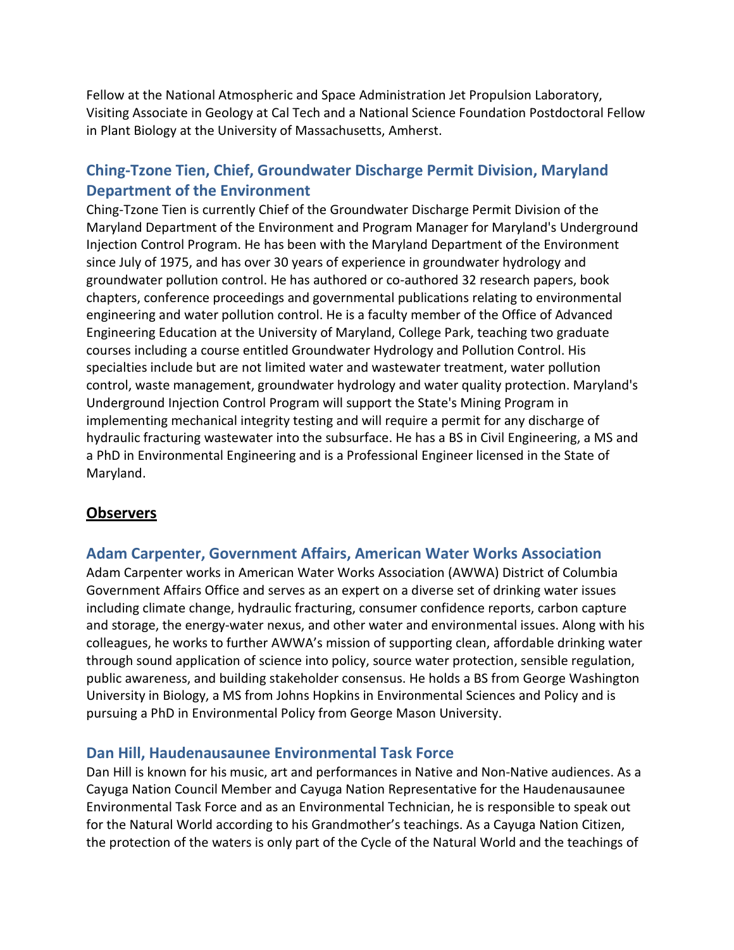Fellow at the National Atmospheric and Space Administration Jet Propulsion Laboratory, Visiting Associate in Geology at Cal Tech and a National Science Foundation Postdoctoral Fellow in Plant Biology at the University of Massachusetts, Amherst.

# **Ching-Tzone Tien, Chief, Groundwater Discharge Permit Division, Maryland Department of the Environment**

Ching-Tzone Tien is currently Chief of the Groundwater Discharge Permit Division of the Maryland Department of the Environment and Program Manager for Maryland's Underground Injection Control Program. He has been with the Maryland Department of the Environment since July of 1975, and has over 30 years of experience in groundwater hydrology and groundwater pollution control. He has authored or co-authored 32 research papers, book chapters, conference proceedings and governmental publications relating to environmental engineering and water pollution control. He is a faculty member of the Office of Advanced Engineering Education at the University of Maryland, College Park, teaching two graduate courses including a course entitled Groundwater Hydrology and Pollution Control. His specialties include but are not limited water and wastewater treatment, water pollution control, waste management, groundwater hydrology and water quality protection. Maryland's Underground Injection Control Program will support the State's Mining Program in implementing mechanical integrity testing and will require a permit for any discharge of hydraulic fracturing wastewater into the subsurface. He has a BS in Civil Engineering, a MS and a PhD in Environmental Engineering and is a Professional Engineer licensed in the State of Maryland.

## **Observers**

### **Adam Carpenter, Government Affairs, American Water Works Association**

Adam Carpenter works in American Water Works Association (AWWA) District of Columbia Government Affairs Office and serves as an expert on a diverse set of drinking water issues including climate change, hydraulic fracturing, consumer confidence reports, carbon capture and storage, the energy-water nexus, and other water and environmental issues. Along with his colleagues, he works to further AWWA's mission of supporting clean, affordable drinking water through sound application of science into policy, source water protection, sensible regulation, public awareness, and building stakeholder consensus. He holds a BS from George Washington University in Biology, a MS from Johns Hopkins in Environmental Sciences and Policy and is pursuing a PhD in Environmental Policy from George Mason University.

### **Dan Hill, Haudenausaunee Environmental Task Force**

Dan Hill is known for his music, art and performances in Native and Non-Native audiences. As a Cayuga Nation Council Member and Cayuga Nation Representative for the Haudenausaunee Environmental Task Force and as an Environmental Technician, he is responsible to speak out for the Natural World according to his Grandmother's teachings. As a Cayuga Nation Citizen, the protection of the waters is only part of the Cycle of the Natural World and the teachings of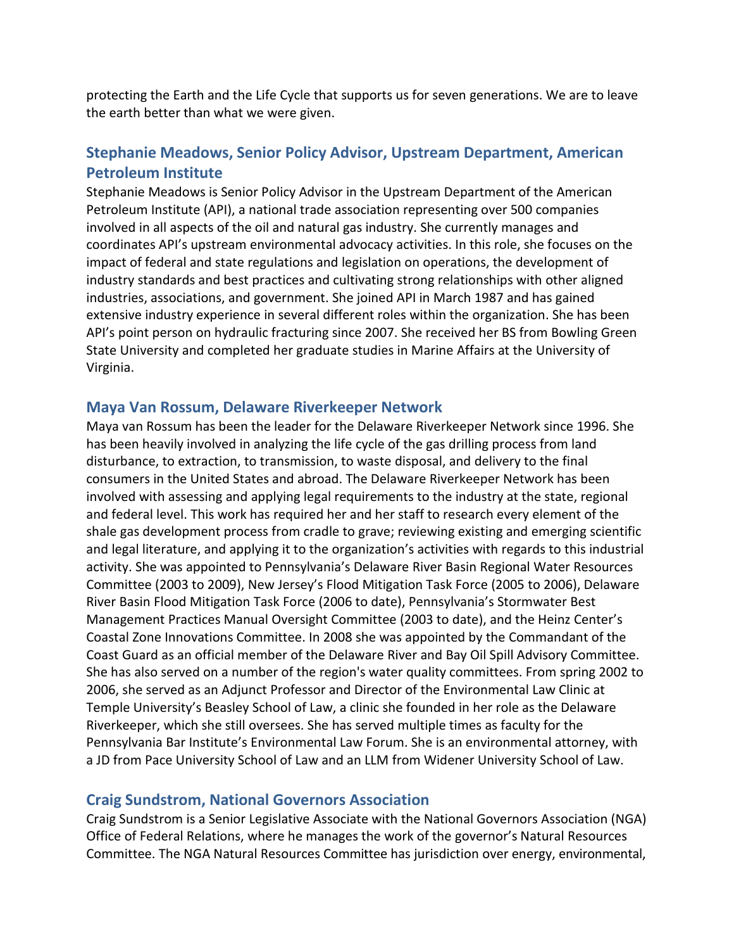protecting the Earth and the Life Cycle that supports us for seven generations. We are to leave the earth better than what we were given.

## **Stephanie Meadows, Senior Policy Advisor, Upstream Department, American Petroleum Institute**

Stephanie Meadows is Senior Policy Advisor in the Upstream Department of the American Petroleum Institute (API), a national trade association representing over 500 companies involved in all aspects of the oil and natural gas industry. She currently manages and coordinates API's upstream environmental advocacy activities. In this role, she focuses on the impact of federal and state regulations and legislation on operations, the development of industry standards and best practices and cultivating strong relationships with other aligned industries, associations, and government. She joined API in March 1987 and has gained extensive industry experience in several different roles within the organization. She has been API's point person on hydraulic fracturing since 2007. She received her BS from Bowling Green State University and completed her graduate studies in Marine Affairs at the University of Virginia.

#### **Maya Van Rossum, Delaware Riverkeeper Network**

Maya van Rossum has been the leader for the Delaware Riverkeeper Network since 1996. She has been heavily involved in analyzing the life cycle of the gas drilling process from land disturbance, to extraction, to transmission, to waste disposal, and delivery to the final consumers in the United States and abroad. The Delaware Riverkeeper Network has been involved with assessing and applying legal requirements to the industry at the state, regional and federal level. This work has required her and her staff to research every element of the shale gas development process from cradle to grave; reviewing existing and emerging scientific and legal literature, and applying it to the organization's activities with regards to this industrial activity. She was appointed to Pennsylvania's Delaware River Basin Regional Water Resources Committee (2003 to 2009), New Jersey's Flood Mitigation Task Force (2005 to 2006), Delaware River Basin Flood Mitigation Task Force (2006 to date), Pennsylvania's Stormwater Best Management Practices Manual Oversight Committee (2003 to date), and the Heinz Center's Coastal Zone Innovations Committee. In 2008 she was appointed by the Commandant of the Coast Guard as an official member of the Delaware River and Bay Oil Spill Advisory Committee. She has also served on a number of the region's water quality committees. From spring 2002 to 2006, she served as an Adjunct Professor and Director of the Environmental Law Clinic at Temple University's Beasley School of Law, a clinic she founded in her role as the Delaware Riverkeeper, which she still oversees. She has served multiple times as faculty for the Pennsylvania Bar Institute's Environmental Law Forum. She is an environmental attorney, with a JD from Pace University School of Law and an LLM from Widener University School of Law.

### **Craig Sundstrom, National Governors Association**

Craig Sundstrom is a Senior Legislative Associate with the National Governors Association (NGA) Office of Federal Relations, where he manages the work of the governor's Natural Resources Committee. The NGA Natural Resources Committee has jurisdiction over energy, environmental,